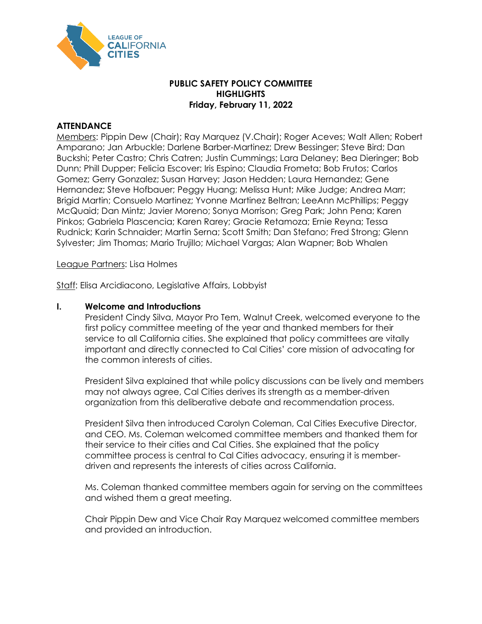

## **PUBLIC SAFETY POLICY COMMITTEE HIGHLIGHTS Friday, February 11, 2022**

## **ATTENDANCE**

Members: Pippin Dew (Chair); Ray Marquez (V.Chair); Roger Aceves; Walt Allen; Robert Amparano; Jan Arbuckle; Darlene Barber-Martinez; Drew Bessinger; Steve Bird; Dan Buckshi; Peter Castro; Chris Catren; Justin Cummings; Lara Delaney; Bea Dieringer; Bob Dunn; Phill Dupper; Felicia Escover; Iris Espino; Claudia Frometa; Bob Frutos; Carlos Gomez; Gerry Gonzalez; Susan Harvey; Jason Hedden; Laura Hernandez; Gene Hernandez; Steve Hofbauer; Peggy Huang; Melissa Hunt; Mike Judge; Andrea Marr; Brigid Martin; Consuelo Martinez; Yvonne Martinez Beltran; LeeAnn McPhillips; Peggy McQuaid; Dan Mintz; Javier Moreno; Sonya Morrison; Greg Park; John Pena; Karen Pinkos; Gabriela Plascencia; Karen Rarey; Gracie Retamoza; Ernie Reyna; Tessa Rudnick; Karin Schnaider; Martin Serna; Scott Smith; Dan Stefano; Fred Strong; Glenn Sylvester; Jim Thomas; Mario Trujillo; Michael Vargas; Alan Wapner; Bob Whalen

#### League Partners: Lisa Holmes

Staff: Elisa Arcidiacono, Legislative Affairs, Lobbyist

## **I. Welcome and Introductions**

President Cindy Silva, Mayor Pro Tem, Walnut Creek, welcomed everyone to the first policy committee meeting of the year and thanked members for their service to all California cities. She explained that policy committees are vitally important and directly connected to Cal Cities' core mission of advocating for the common interests of cities.

President Silva explained that while policy discussions can be lively and members may not always agree, Cal Cities derives its strength as a member-driven organization from this deliberative debate and recommendation process.

President Silva then introduced Carolyn Coleman, Cal Cities Executive Director, and CEO. Ms. Coleman welcomed committee members and thanked them for their service to their cities and Cal Cities. She explained that the policy committee process is central to Cal Cities advocacy, ensuring it is memberdriven and represents the interests of cities across California.

Ms. Coleman thanked committee members again for serving on the committees and wished them a great meeting.

Chair Pippin Dew and Vice Chair Ray Marquez welcomed committee members and provided an introduction.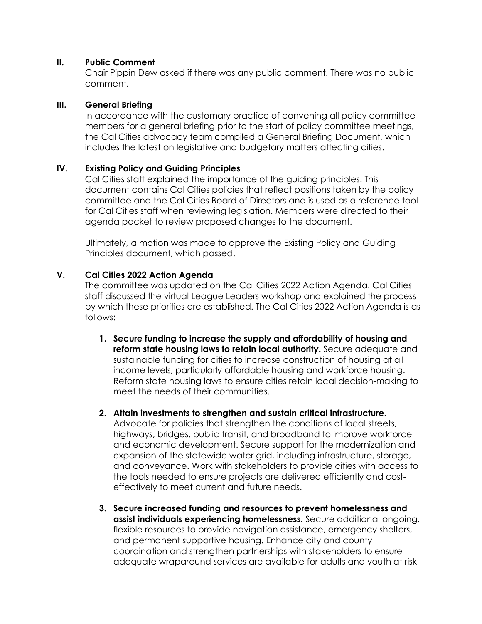### **II. Public Comment**

Chair Pippin Dew asked if there was any public comment. There was no public comment.

#### **III. General Briefing**

In accordance with the customary practice of convening all policy committee members for a general briefing prior to the start of policy committee meetings, the Cal Cities advocacy team compiled a General Briefing Document, which includes the latest on legislative and budgetary matters affecting cities.

## **IV. Existing Policy and Guiding Principles**

Cal Cities staff explained the importance of the guiding principles. This document contains Cal Cities policies that reflect positions taken by the policy committee and the Cal Cities Board of Directors and is used as a reference tool for Cal Cities staff when reviewing legislation. Members were directed to their agenda packet to review proposed changes to the document.

Ultimately, a motion was made to approve the Existing Policy and Guiding Principles document, which passed.

## **V. Cal Cities 2022 Action Agenda**

The committee was updated on the Cal Cities 2022 Action Agenda. Cal Cities staff discussed the virtual League Leaders workshop and explained the process by which these priorities are established. The Cal Cities 2022 Action Agenda is as follows:

- **1. Secure funding to increase the supply and affordability of housing and reform state housing laws to retain local authority.** Secure adequate and sustainable funding for cities to increase construction of housing at all income levels, particularly affordable housing and workforce housing. Reform state housing laws to ensure cities retain local decision-making to meet the needs of their communities.
- **2. Attain investments to strengthen and sustain critical infrastructure.**  Advocate for policies that strengthen the conditions of local streets, highways, bridges, public transit, and broadband to improve workforce and economic development. Secure support for the modernization and expansion of the statewide water grid, including infrastructure, storage, and conveyance. Work with stakeholders to provide cities with access to the tools needed to ensure projects are delivered efficiently and costeffectively to meet current and future needs.
- **3. Secure increased funding and resources to prevent homelessness and assist individuals experiencing homelessness.** Secure additional ongoing, flexible resources to provide navigation assistance, emergency shelters, and permanent supportive housing. Enhance city and county coordination and strengthen partnerships with stakeholders to ensure adequate wraparound services are available for adults and youth at risk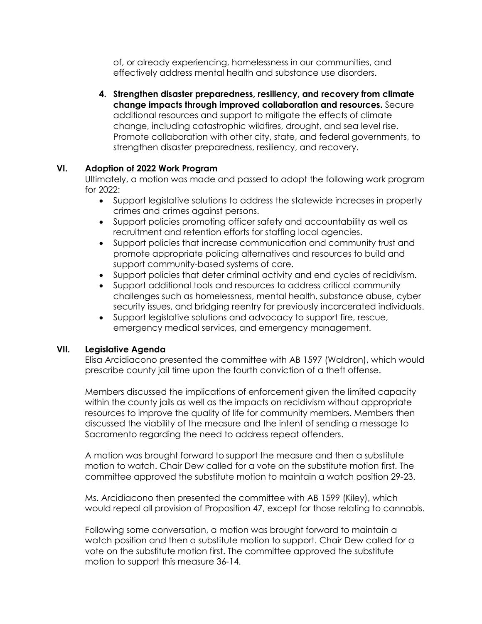of, or already experiencing, homelessness in our communities, and effectively address mental health and substance use disorders.

**4. Strengthen disaster preparedness, resiliency, and recovery from climate change impacts through improved collaboration and resources.** Secure additional resources and support to mitigate the effects of climate change, including catastrophic wildfires, drought, and sea level rise. Promote collaboration with other city, state, and federal governments, to strengthen disaster preparedness, resiliency, and recovery.

# **VI. Adoption of 2022 Work Program**

Ultimately, a motion was made and passed to adopt the following work program for 2022:

- Support legislative solutions to address the statewide increases in property crimes and crimes against persons.
- Support policies promoting officer safety and accountability as well as recruitment and retention efforts for staffing local agencies.
- Support policies that increase communication and community trust and promote appropriate policing alternatives and resources to build and support community-based systems of care.
- Support policies that deter criminal activity and end cycles of recidivism.
- Support additional tools and resources to address critical community challenges such as homelessness, mental health, substance abuse, cyber security issues, and bridging reentry for previously incarcerated individuals.
- Support legislative solutions and advocacy to support fire, rescue, emergency medical services, and emergency management.

# **VII. Legislative Agenda**

Elisa Arcidiacono presented the committee with AB 1597 (Waldron), which would prescribe county jail time upon the fourth conviction of a theft offense.

Members discussed the implications of enforcement given the limited capacity within the county jails as well as the impacts on recidivism without appropriate resources to improve the quality of life for community members. Members then discussed the viability of the measure and the intent of sending a message to Sacramento regarding the need to address repeat offenders.

A motion was brought forward to support the measure and then a substitute motion to watch. Chair Dew called for a vote on the substitute motion first. The committee approved the substitute motion to maintain a watch position 29-23.

Ms. Arcidiacono then presented the committee with AB 1599 (Kiley), which would repeal all provision of Proposition 47, except for those relating to cannabis.

Following some conversation, a motion was brought forward to maintain a watch position and then a substitute motion to support. Chair Dew called for a vote on the substitute motion first. The committee approved the substitute motion to support this measure 36-14.